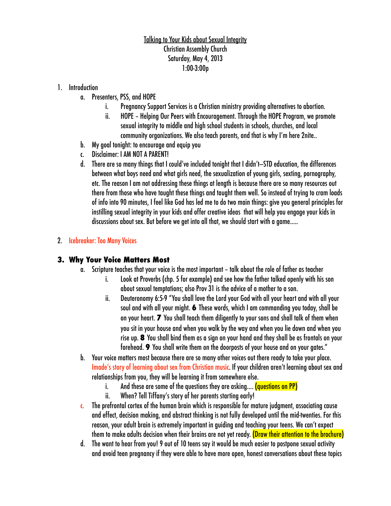### Talking to Your Kids about Sexual Integrity Christian Assembly Church Saturday, May 4, 2013 1:00-3:00p

#### 1. Introduction

- a. Presenters, PSS, and HOPE
	- i. Pregnancy Support Services is a Christian ministry providing alternatives to abortion.
	- ii. HOPE Helping Our Peers with Encouragement. Through the HOPE Program, we promote sexual integrity to middle and high school students in schools, churches, and local community organizations. We also teach parents, and that is why I'm here 2nite..
- b. My goal tonight: to encourage and equip you
- c. Disclaimer: I AM NOT A PARENT!
- d. There are so many things that I could've included tonight that I didn't—STD education, the differences between what boys need and what girls need, the sexualization of young girls, sexting, pornography, etc. The reason I am not addressing these things at length is because there are so many resources out there from those who have taught these things and taught them well. So instead of trying to cram loads of info into 90 minutes, I feel like God has led me to do two main things: give you general principles for instilling sexual integrity in your kids and offer creative ideas that will help you engage your kids in discussions about sex. But before we get into all that, we should start with a game…..

### 2. Icebreaker: Too Many Voices

### **3. Why Your Voice Matters Most**

- a. Scripture teaches that your voice is the most important talk about the role of father as teacher
	- i. Look at Proverbs (chp. 5 for example) and see how the father talked openly with his son about sexual temptations; also Prov 31 is the advice of a mother to a son.
	- ii. Deuteronomy 6:5-9 "You shall love the Lord your God with all your heart and with all your soul and with all your might. **6** These words, which I am commanding you today, shall be on your heart. **7** You shall teach them diligently to your sons and shall talk of them when you sit in your house and when you walk by the way and when you lie down and when you rise up. **8** You shall bind them as a sign on your hand and they shall be as frontals on your forehead. **9** You shall write them on the doorposts of your house and on your gates."
- b. Your voice matters most because there are so many other voices out there ready to take your place. Imade's story of learning about sex from Christian music. If your children aren't learning about sex and relationships from you, they will be learning it from somewhere else.
	- i. And these are some of the questions they are asking.... (questions on PP)
	- ii. When? Tell Tiffany's story of her parents starting early!
- c. The prefrontal cortex of the human brain which is responsible for mature judgment, associating cause and effect, decision making, and abstract thinking is not fully developed until the mid-twenties. For this reason, your adult brain is extremely important in guiding and teaching your teens. We can't expect them to make adults decision when their brains are not yet ready. (Draw their attention to the brochure)
- d. The want to hear from you! 9 out of 10 teens say it would be much easier to postpone sexual activity and avoid teen pregnancy if they were able to have more open, honest conversations about these topics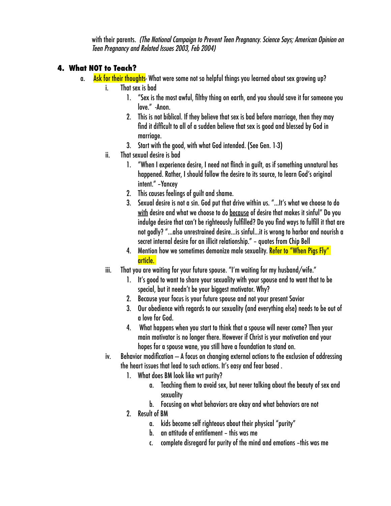with their parents. *(The National Campaign to Prevent Teen Pregnancy. Science Says; American Opinion on Teen Pregnancy and Related Issues 2003, Feb 2004)* 

## **4. What NOT to Teach?**

- a. Ask for their thoughts- What were some not so helpful things you learned about sex growing up?
	- i. That sex is bad
		- 1. "Sex is the most awful, filthy thing on earth, and you should save it for someone you love." -Anon.
		- 2. This is not biblical. If they believe that sex is bad before marriage, then they may find it difficult to all of a sudden believe that sex is good and blessed by God in marriage.
		- 3. Start with the good, with what God intended. (See Gen. 1-3)
	- ii. That sexual desire is bad
		- 1. "When I experience desire, I need not flinch in guilt, as if something unnatural has happened. Rather, I should follow the desire to its source, to learn God's original intent." –Yancey
		- 2. This causes feelings of guilt and shame.
		- 3. Sexual desire is not a sin. God put that drive within us. "…It's what we choose to do with desire and what we choose to do because of desire that makes it sinful" Do you indulge desire that can't be righteously fulfilled? Do you find ways to fulfill it that are not godly? "…also unrestrained desire…is sinful...it is wrong to harbor and nourish a secret internal desire for an illicit relationship." – quotes from Chip Bell
		- 4. Mention how we sometimes demonize male sexuality. <mark>Refer to "When Pigs Fly"</mark> article.
	- iii. That you are waiting for your future spouse. "I'm waiting for my husband/wife."
		- 1. It's good to want to share your sexuality with your spouse and to want that to be special, but it needn't be your biggest motivator. Why?
		- 2. Because your focus is your future spouse and not your present Savior
		- 3. Our obedience with regards to our sexuality (and everything else) needs to be out of a love for God.
		- 4. What happens when you start to think that a spouse will never come? Then your main motivator is no longer there. However if Christ is your motivation and your hopes for a spouse wane, you still have a foundation to stand on.
	- $iv.$  Behavior modification  $-$  A focus on changing external actions to the exclusion of addressing the heart issues that lead to such actions. It's easy and fear based .
		- 1. What does BM look like wrt purity?
			- a. Teaching them to avoid sex, but never talking about the beauty of sex and sexuality
			- b. Focusing on what behaviors are okay and what behaviors are not
		- 2. Result of BM
			- a. kids become self righteous about their physical "purity"
			- b. an attitude of entitlement this was me
			- c. complete disregard for purity of the mind and emotions –this was me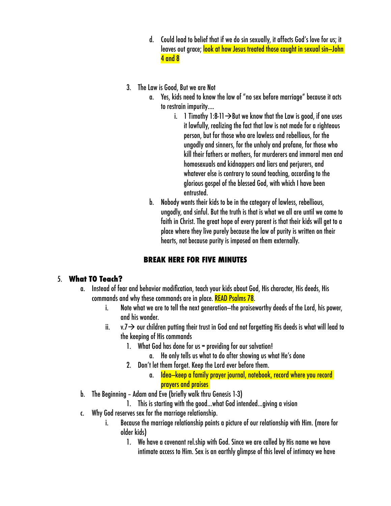- d. Could lead to belief that if we do sin sexually, it affects God's love for us; it leaves out grace; look at how Jesus treated those caught in sexual sin—John 4 and 8
- 3. The Law is Good, But we are Not
	- a. Yes, kids need to know the law of "no sex before marriage" because it acts to restrain impurity….
		- i. 1 Timothy 1:8-11  $\rightarrow$  But we know that the Law is good, if one uses it lawfully, realizing the fact that law is not made for a righteous person, but for those who are lawless and rebellious, for the ungodly and sinners, for the unholy and profane, for those who kill their fathers or mothers, for murderers and immoral men and homosexuals and kidnappers and liars and perjurers, and whatever else is contrary to sound teaching, according to the glorious gospel of the blessed God, with which I have been entrusted.
	- b. Nobody wants their kids to be in the category of lawless, rebellious, ungodly, and sinful. But the truth is that is what we all are until we come to faith in Christ. The great hope of every parent is that their kids will get to a place where they live purely because the law of purity is written on their hearts, not because purity is imposed on them externally.

### **BREAK HERE FOR FIVE MINUTES**

#### 5. **What TO Teach?**

- a. Instead of fear and behavior modification, teach your kids about God, His character, His deeds, His commands and why these commands are in place. READ Psalms 78.
	- i. Note what we are to tell the next generation—the praiseworthy deeds of the Lord, his power, and his wonder.
	- ii.  $v.7 \rightarrow$  our children putting their trust in God and not forgetting His deeds is what will lead to the keeping of His commands
		- 1. What God has done for us = providing for our salvation!
			- a. He only tells us what to do after showing us what He's done
		- 2. Don't let them forget. Keep the Lord ever before them.
			- a. Idea—keep a family prayer journal, notebook, record where you record prayers and praises
- b. The Beginning Adam and Eve (briefly walk thru Genesis 1-3)
	- 1. This is starting with the good…what God intended…giving a vision
- c. Why God reserves sex for the marriage relationship.
	- i. Because the marriage relationship paints a picture of our relationship with Him. (more for older kids)
		- 1. We have a covenant rel.ship with God. Since we are called by His name we have intimate access to Him. Sex is an earthly glimpse of this level of intimacy we have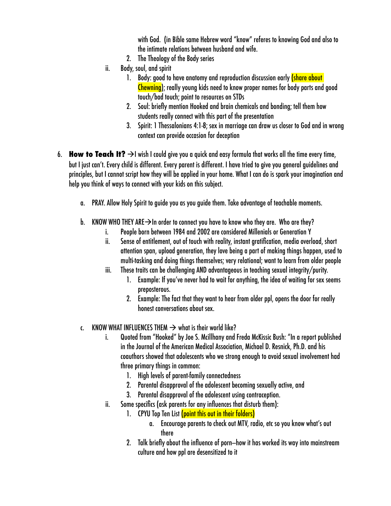with God. (in Bible same Hebrew word "know" referes to knowing God and also to the intimate relations between husband and wife.

- 2. The Theology of the Body series
- ii. Body, soul, and spirit
	- 1. Body: good to have anatomy and reproduction discussion early (share about Chewning); really young kids need to know proper names for body parts and good touch/bad touch; point to resources on STDs
	- 2. Soul: briefly mention Hooked and brain chemicals and bonding; tell them how students really connect with this part of the presentation
	- 3. Spirit: 1 Thessalonians 4:1-8; sex in marriage can draw us closer to God and in wrong context can provide occasion for deception
- 6. **How to Teach It?**  $\rightarrow$  I wish I could give you a quick and easy formula that works all the time every time, but I just can't. Every child is different. Every parent is different. I have tried to give you general guidelines and principles, but I cannot script how they will be applied in your home. What I can do is spark your imagination and help you think of ways to connect with your kids on this subject.
	- a. PRAY. Allow Holy Spirit to guide you as you guide them. Take advantage of teachable moments.
	- b. KNOW WHO THEY ARE  $\rightarrow$  In order to connect you have to know who they are. Who are they?
		- i. People born between 1984 and 2002 are considered Millenials or Generation Y
		- ii. Sense of entitlement, out of touch with reality, instant gratification, media overload, short attention span, upload generation, they love being a part of making things happen, used to multi-tasking and doing things themselves; very relational; want to learn from older people
		- iii. These traits can be challenging AND advantageous in teaching sexual integrity/purity.
			- 1. Example: If you've never had to wait for anything, the idea of waiting for sex seems preposterous.
			- 2. Example: The fact that they want to hear from older ppl, opens the door for really honest conversations about sex.
	- c. KNOW WHAT INFLUENCES THEM  $\rightarrow$  what is their world like?
		- i. Quoted from "Hooked" by Joe S. Mcillhany and Freda McKissic Bush: "In a report published in the Journal of the American Medical Association, Michael D. Resnick, Ph.D. and his coauthors showed that adolescents who we strong enough to avoid sexual involvement had three primary things in common:
			- 1. High levels of parent-family connectedness
			- 2. Parental disapproval of the adolescent becoming sexually active, and
			- 3. Parental disapproval of the adolescent using contraception.
		- ii. Some specifics (ask parents for any influences that disturb them):
			- 1. CPYU Top Ten List (point this out in their folders)
				- a. Encourage parents to check out MTV, radio, etc so you know what's out there
			- 2. Talk briefly about the influence of porn—how it has worked its way into mainstream culture and how ppl are desensitized to it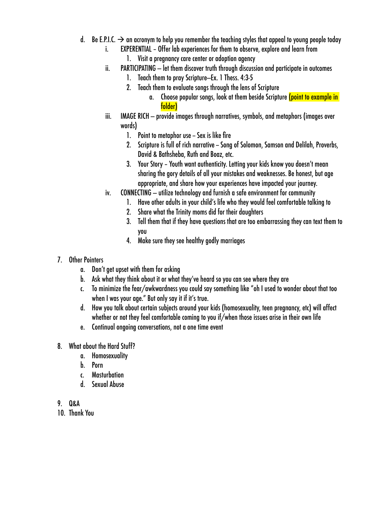- d. Be E.P.I.C.  $\rightarrow$  an acronym to help you remember the teaching styles that appeal to young people today
	- i. EXPERENTIAL Offer lab experiences for them to observe, explore and learn from
		- 1. Visit a pregnancy care center or adoption agency
	- ii. PARTICIPATING let them discover truth through discussion and participate in outcomes
		- 1. Teach them to pray Scripture—Ex. 1 Thess. 4:3-5
		- 2. Teach them to evaluate songs through the lens of Scripture
			- a. Choose popular songs, look at them beside Scripture (point to example in folder)
	- iii. IMAGE RICH provide images through narratives, symbols, and metaphors (images over words)
		- 1. Point to metaphor use Sex is like fire
		- 2. Scripture is full of rich narrative Song of Solomon, Samson and Delilah, Proverbs, David & Bathsheba, Ruth and Boaz, etc.
		- 3. Your Story Youth want authenticity. Letting your kids know you doesn't mean sharing the gory details of all your mistakes and weaknesses. Be honest, but age appropriate, and share how your experiences have impacted your journey.
	- iv. CONNECTING utilize technology and furnish a safe environment for community
		- 1. Have other adults in your child's life who they would feel comfortable talking to
		- 2. Share what the Trinity moms did for their daughters
		- 3. Tell them that if they have questions that are too embarrassing they can text them to you
		- 4. Make sure they see healthy godly marriages

### 7. Other Pointers

- a. Don't get upset with them for asking
- b. Ask what they think about it or what they've heard so you can see where they are
- c. To minimize the fear/awkwardness you could say something like "oh I used to wonder about that too when I was your age." But only say it if it's true.
- d. How you talk about certain subjects around your kids (homosexuality, teen pregnancy, etc) will affect whether or not they feel comfortable coming to you if/when those issues arise in their own life
- e. Continual ongoing conversations, not a one time event
- 8. What about the Hard Stuff?
	- a. Homosexuality
	- b. Porn
	- c. Masturbation
	- d. Sexual Abuse
- 9. Q&A
- 10. Thank You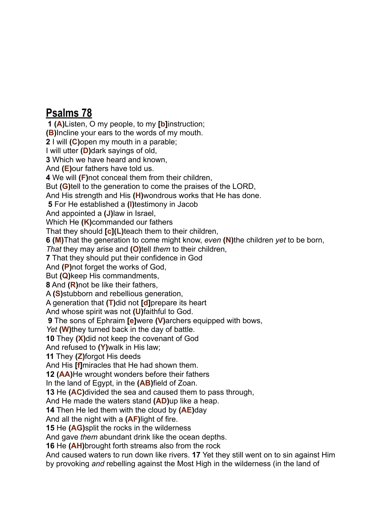# **Psalms 78**

**1 ([A](http://www.biblegateway.com/passage/?search=psalms%2078&version=NASB#cen-NASB-15115A))**Listen, O my people, to my **[[b\]](http://www.biblegateway.com/passage/?search=psalms%2078&version=NASB#fen-NASB-15115b)**instruction; **([B\)](http://www.biblegateway.com/passage/?search=psalms%2078&version=NASB#cen-NASB-15115B)**Incline your ears to the words of my mouth. **2** I will **([C](http://www.biblegateway.com/passage/?search=psalms%2078&version=NASB#cen-NASB-15116C))**open my mouth in a parable; I will utter **[\(D\)](http://www.biblegateway.com/passage/?search=psalms%2078&version=NASB#cen-NASB-15116D)**dark sayings of old, **3** Which we have heard and known, And **([E\)](http://www.biblegateway.com/passage/?search=psalms%2078&version=NASB#cen-NASB-15117E)**our fathers have told us. **4** We will **[\(F](http://www.biblegateway.com/passage/?search=psalms%2078&version=NASB#cen-NASB-15118F))**not conceal them from their children, But **[\(G\)](http://www.biblegateway.com/passage/?search=psalms%2078&version=NASB#cen-NASB-15118G)**tell to the generation to come the praises of the LORD, And His strength and His **[\(H\)](http://www.biblegateway.com/passage/?search=psalms%2078&version=NASB#cen-NASB-15118H)**wondrous works that He has done. **5** For He established a **[\(I\)](http://www.biblegateway.com/passage/?search=psalms%2078&version=NASB#cen-NASB-15119I)**testimony in Jacob And appointed a **([J](http://www.biblegateway.com/passage/?search=psalms%2078&version=NASB#cen-NASB-15119J))**law in Israel, Which He **[\(K](http://www.biblegateway.com/passage/?search=psalms%2078&version=NASB#cen-NASB-15119K))**commanded our fathers That they should **[\[c\]](http://www.biblegateway.com/passage/?search=psalms%2078&version=NASB#fen-NASB-15119c)([L](http://www.biblegateway.com/passage/?search=psalms%2078&version=NASB#cen-NASB-15119L))**teach them to their children, **6 [\(M](http://www.biblegateway.com/passage/?search=psalms%2078&version=NASB#cen-NASB-15120M))**That the generation to come might know, *even* **[\(N](http://www.biblegateway.com/passage/?search=psalms%2078&version=NASB#cen-NASB-15120N))**the children *yet* to be born, *That* they may arise and **[\(O](http://www.biblegateway.com/passage/?search=psalms%2078&version=NASB#cen-NASB-15120O))**tell *them* to their children, **7** That they should put their confidence in God And **([P\)](http://www.biblegateway.com/passage/?search=psalms%2078&version=NASB#cen-NASB-15121P)**not forget the works of God, But **[\(Q\)](http://www.biblegateway.com/passage/?search=psalms%2078&version=NASB#cen-NASB-15121Q)**keep His commandments, **8** And **[\(R\)](http://www.biblegateway.com/passage/?search=psalms%2078&version=NASB#cen-NASB-15122R)**not be like their fathers, A **([S\)](http://www.biblegateway.com/passage/?search=psalms%2078&version=NASB#cen-NASB-15122S)**stubborn and rebellious generation, A generation that **[\(T](http://www.biblegateway.com/passage/?search=psalms%2078&version=NASB#cen-NASB-15122T))**did not **[[d](http://www.biblegateway.com/passage/?search=psalms%2078&version=NASB#fen-NASB-15122d)]**prepare its heart And whose spirit was not **[\(U\)](http://www.biblegateway.com/passage/?search=psalms%2078&version=NASB#cen-NASB-15122U)**faithful to God. **9** The sons of Ephraim **[\[e\]](http://www.biblegateway.com/passage/?search=psalms%2078&version=NASB#fen-NASB-15123e)**were **[\(V](http://www.biblegateway.com/passage/?search=psalms%2078&version=NASB#cen-NASB-15123V))**archers equipped with bows, *Yet* **([W](http://www.biblegateway.com/passage/?search=psalms%2078&version=NASB#cen-NASB-15123W))**they turned back in the day of battle. **10** They **[\(X](http://www.biblegateway.com/passage/?search=psalms%2078&version=NASB#cen-NASB-15124X))**did not keep the covenant of God And refused to **[\(Y](http://www.biblegateway.com/passage/?search=psalms%2078&version=NASB#cen-NASB-15124Y))**walk in His law; **11** They **([Z](http://www.biblegateway.com/passage/?search=psalms%2078&version=NASB#cen-NASB-15125Z))**forgot His deeds And His **[\[f](http://www.biblegateway.com/passage/?search=psalms%2078&version=NASB#fen-NASB-15125f)]**miracles that He had shown them. **12 ([AA](http://www.biblegateway.com/passage/?search=psalms%2078&version=NASB#cen-NASB-15126AA))**He wrought wonders before their fathers In the land of Egypt, in the **([AB](http://www.biblegateway.com/passage/?search=psalms%2078&version=NASB#cen-NASB-15126AB))**field of Zoan. **13** He **[\(AC\)](http://www.biblegateway.com/passage/?search=psalms%2078&version=NASB#cen-NASB-15127AC)**divided the sea and caused them to pass through, And He made the waters stand **[\(AD](http://www.biblegateway.com/passage/?search=psalms%2078&version=NASB#cen-NASB-15127AD))**up like a heap. **14** Then He led them with the cloud by **([AE\)](http://www.biblegateway.com/passage/?search=psalms%2078&version=NASB#cen-NASB-15128AE)**day And all the night with a **[\(AF](http://www.biblegateway.com/passage/?search=psalms%2078&version=NASB#cen-NASB-15128AF))**light of fire. **15** He **[\(AG](http://www.biblegateway.com/passage/?search=psalms%2078&version=NASB#cen-NASB-15129AG))**split the rocks in the wilderness And gave *them* abundant drink like the ocean depths. **16** He **[\(AH\)](http://www.biblegateway.com/passage/?search=psalms%2078&version=NASB#cen-NASB-15130AH)**brought forth streams also from the rock And caused waters to run down like rivers. **17** Yet they still went on to sin against Him

by provoking *and* rebelling against the Most High in the wilderness (in the land of